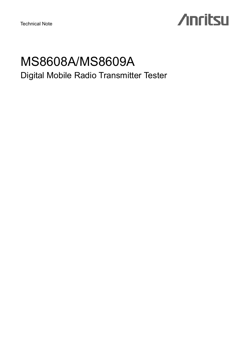Technical Note

# **Anritsu**

## MS8608A/MS8609A Digital Mobile Radio Transmitter Tester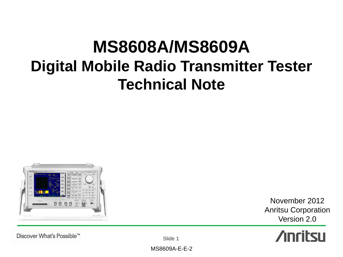# **MS8608A/MS8609A Digital Mobile Radio Transmitter Tester Technical Note**



November 2012 Anritsu Corporation Version 2.0



Discover What's Possible™

Slide 1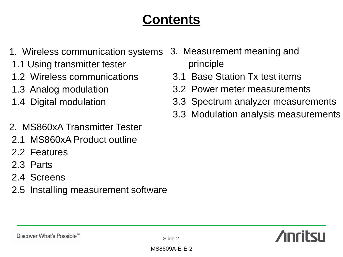## **Contents**

- 1. Wireless communication systems
- 1.1 Using transmitter tester
- 1.2 Wireless communications
- 1.3 Analog modulation
- 1.4 Digital modulation
- 2. MS860xA Transmitter Tester
- 2.1 MS860xA Product outline
- 2.2 Features
- 2.3 Parts
- 2.4 Screens
- 2.5 Installing measurement software
- 3. Measurement meaning and principle
- 3.1 Base Station Tx test items
- 3.2 Power meter measurements
- 3.3 Spectrum analyzer measurements
- 3.3 Modulation analysis measurements

## **Anritsu**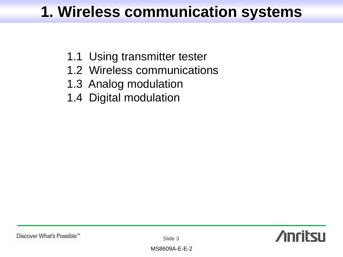## **1. Wireless communication systems**

- 1.1 Using transmitter tester
- 1.2 Wireless communications
- 1.3 Analog modulation
- 1.4 Digital modulation

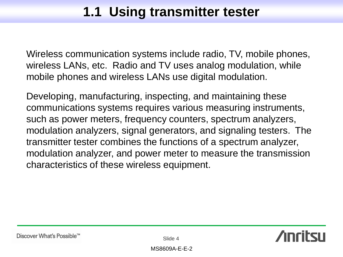## **1.1 Using transmitter tester**

Wireless communication systems include radio, TV, mobile phones, wireless LANs, etc. Radio and TV uses analog modulation, while mobile phones and wireless LANs use digital modulation.

Developing, manufacturing, inspecting, and maintaining these communications systems requires various measuring instruments, such as power meters, frequency counters, spectrum analyzers, modulation analyzers, signal generators, and signaling testers. The transmitter tester combines the functions of a spectrum analyzer, modulation analyzer, and power meter to measure the transmission characteristics of these wireless equipment.

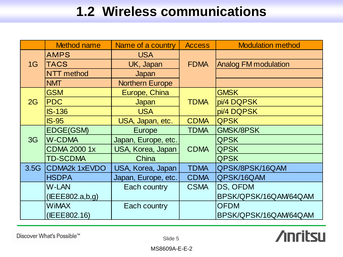## **1.2 Wireless communications**

|                                  | <b>Method name</b>   | Name of a country        | <b>Access</b> | <b>Modulation method</b>    |
|----------------------------------|----------------------|--------------------------|---------------|-----------------------------|
|                                  | <b>AMPS</b>          | <b>USA</b>               |               |                             |
| 1G                               | <b>TACS</b>          | <b>FDMA</b><br>UK, Japan |               | <b>Analog FM modulation</b> |
|                                  | <b>NTT</b> method    | Japan                    |               |                             |
|                                  | <b>NMT</b>           | <b>Northern Europe</b>   |               |                             |
|                                  | <b>GSM</b>           | Europe, China            |               | <b>GMSK</b>                 |
| 2G                               | <b>PDC</b>           | Japan                    | <b>TDMA</b>   | pi/4 DQPSK                  |
|                                  | $IS-136$             | <b>USA</b>               |               | pi/4 DQPSK                  |
| <b>IS-95</b><br>USA, Japan, etc. |                      | <b>CDMA</b>              | <b>QPSK</b>   |                             |
|                                  | <b>EDGE(GSM)</b>     | Europe                   | <b>TDMA</b>   | <b>GMSK/8PSK</b>            |
| 3G                               | <b>W-CDMA</b>        | Japan, Europe, etc.      | <b>CDMA</b>   | <b>QPSK</b>                 |
|                                  | <b>CDMA 2000 1x</b>  | USA, Korea, Japan        |               | <b>QPSK</b>                 |
|                                  | <b>TD-SCDMA</b>      | China                    |               | <b>QPSK</b>                 |
| 3.5G                             | <b>CDMA2k 1xEVDO</b> | USA, Korea, Japan        | <b>TDMA</b>   | QPSK/8PSK/16QAM             |
|                                  | <b>HSDPA</b>         | Japan, Europe, etc.      | <b>CDMA</b>   | QPSK/16QAM                  |
|                                  | <b>W-LAN</b>         | Each country             | <b>CSMA</b>   | DS, OFDM                    |
|                                  | (IEEE802.a,b,g)      |                          |               | BPSK/QPSK/16QAM64QAM        |
|                                  | <b>WiMAX</b>         | Each country             |               | <b>OFDM</b>                 |
|                                  | (IEEE802.16)         |                          |               | BPSK/QPSK/16QAM/64QAM       |

Discover What's Possible™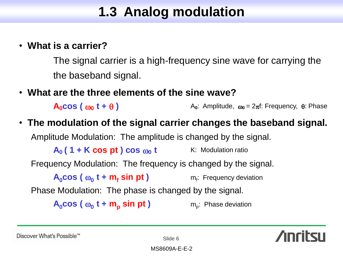## **1.3 Analog modulation**

### • **What is a carrier?**

The signal carrier is a high-frequency sine wave for carrying the the baseband signal.

• **What are the three elements of the sine wave?**

**A<sub>0</sub>COS</sub> (**  $\omega_0$  **<b>t** +  $\theta$  )  $\omega_1$  A<sub>0</sub>: Amplitude,  $\omega_0 = 2\pi f$ : Frequency,  $\theta$ : Phase

### • **The modulation of the signal carrier changes the baseband signal.**

Amplitude Modulation: The amplitude is changed by the signal.

 $A_0$  (1 + K cos pt ) cos  $\omega_0$  t K: Modulation ratio

Frequency Modulation: The frequency is changed by the signal.

 $A_0$ **cos** ( $\omega_0$  **t** + **m<sub>f</sub> sin pt**) m<sub>f</sub> m<sub>f</sub>: Frequency deviation

Phase Modulation: The phase is changed by the signal.

 $A_0$ **cos** ( $\omega_0$  **t** + **m**<sub>p</sub> **sin pt**) m<sub>p</sub>

m<sub>n</sub>: Phase deviation



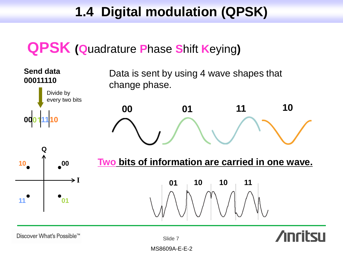## **1.4 Digital modulation (QPSK)**

## **QPSK (Q**uadrature **P**hase **S**hift **K**eying**)**



Discover What's Possible™

Slide 7

MS8609A-E-E-2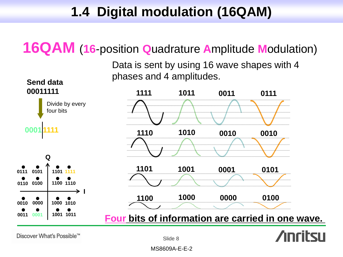## **1.4 Digital modulation (16QAM)**

## **16QAM** (**16**-position **Q**uadrature **A**mplitude **M**odulation)

Data is sent by using 16 wave shapes with 4 phases and 4 amplitudes.



Discover What's Possible™

Slide 8

MS8609A-E-E-2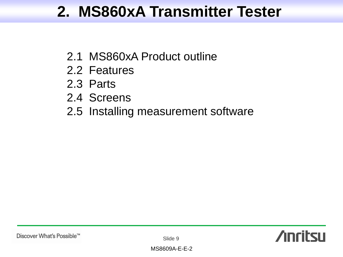## **2. MS860xA Transmitter Tester**

- 2.1 MS860xA Product outline
- 2.2 Features
- 2.3 Parts
- 2.4 Screens
- 2.5 Installing measurement software



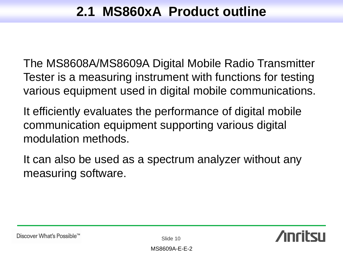## **2.1 MS860xA Product outline**

The MS8608A/MS8609A Digital Mobile Radio Transmitter Tester is a measuring instrument with functions for testing various equipment used in digital mobile communications.

It efficiently evaluates the performance of digital mobile communication equipment supporting various digital modulation methods.

It can also be used as a spectrum analyzer without any measuring software.

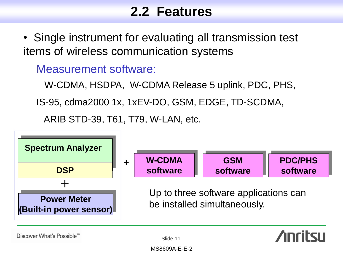## **2.2 Features**

• Single instrument for evaluating all transmission test items of wireless communication systems

Measurement software:

W-CDMA, HSDPA, W-CDMA Release 5 uplink, PDC, PHS,

IS-95, cdma2000 1x, 1xEV-DO, GSM, EDGE, TD-SCDMA,

ARIB STD-39, T61, T79, W-LAN, etc.



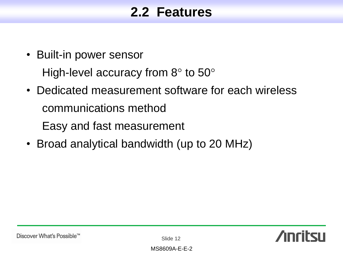## **2.2 Features**

- Built-in power sensor High-level accuracy from  $8^{\circ}$  to  $50^{\circ}$
- Dedicated measurement software for each wireless communications method Easy and fast measurement
- Broad analytical bandwidth (up to 20 MHz)



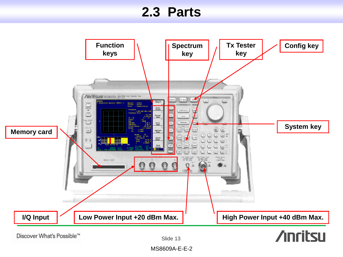## **2.3 Parts**



Discover What's Possible™

Slide 13

MS8609A-E-E-2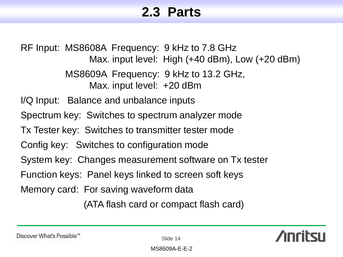## **2.3 Parts**

RF Input: MS8608A Frequency: 9 kHz to 7.8 GHz Max. input level: High (+40 dBm), Low (+20 dBm) MS8609A Frequency: 9 kHz to 13.2 GHz, Max. input level: +20 dBm I/Q Input: Balance and unbalance inputs Spectrum key: Switches to spectrum analyzer mode Tx Tester key: Switches to transmitter tester mode Config key: Switches to configuration mode System key: Changes measurement software on Tx tester Function keys: Panel keys linked to screen soft keys Memory card: For saving waveform data (ATA flash card or compact flash card)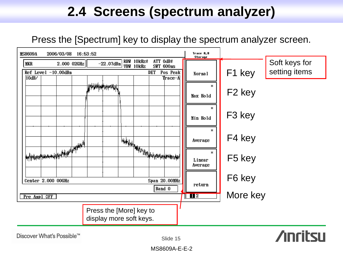## **2.4 Screens (spectrum analyzer)**

### Press the [Spectrum] key to display the spectrum analyzer screen.

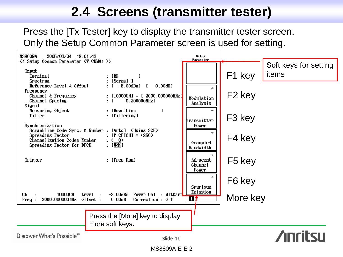## **2.4 Screens (transmitter tester)**

Press the [Tx Tester] key to display the transmitter tester screen. Only the Setup Common Parameter screen is used for setting.

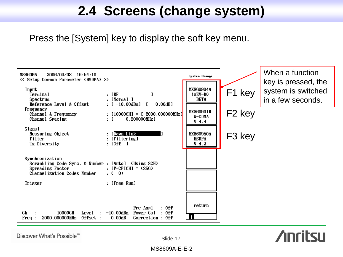## **2.4 Screens (change system)**

Press the [System] key to display the soft key menu.



Discover What's Possible™

Slide 17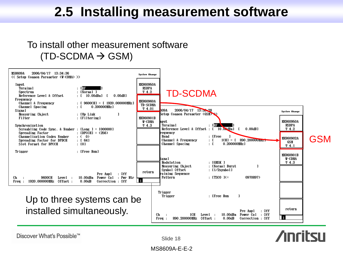## **2.5 Installing measurement software**

### To install other measurement software  $(TD-SCDMA \rightarrow GSM)$





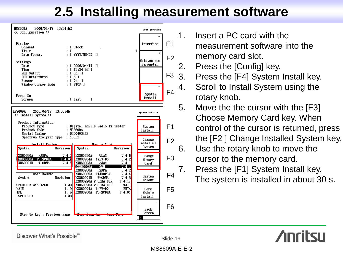## **2.5 Installing measurement software**



- 1. Insert a PC card with the measurement software into the memory card slot.
- 2. Press the [Config] key.
- 3. Press the [F4] System Install key.
- 4. Scroll to Install System using the rotary knob.
- 5. Move the the cursor with the [F3] Choose Memory Card key. When control of the cursor is returned, press the [F2 ] Change Installed System key.
- 6. Use the rotary knob to move the cursor to the memory card.
- 7. Press the [F1] System Install key. The system is installed in about 30 s.



Discover What's Possible™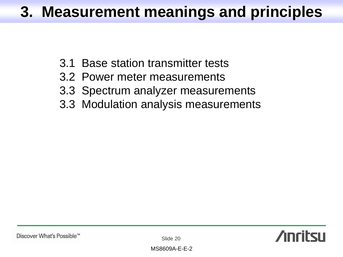## **3. Measurement meanings and principles**

- 3.1 Base station transmitter tests
- 3.2 Power meter measurements
- 3.3 Spectrum analyzer measurements
- 3.3 Modulation analysis measurements

Slide 20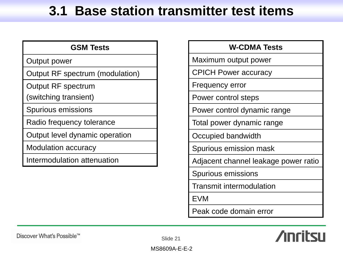## **3.1 Base station transmitter test items**

| <b>GSM Tests</b>                |
|---------------------------------|
| Output power                    |
| Output RF spectrum (modulation) |
| <b>Output RF spectrum</b>       |
| (switching transient)           |
| Spurious emissions              |
| Radio frequency tolerance       |
| Output level dynamic operation  |
| <b>Modulation accuracy</b>      |
| Intermodulation attenuation     |
|                                 |

### **W-CDMA Tests**

Maximum output power

CPICH Power accuracy

Frequency error

Power control steps

Power control dynamic range

Total power dynamic range

Occupied bandwidth

Spurious emission mask

Adjacent channel leakage power ratio

Spurious emissions

Transmit intermodulation

EVM

Peak code domain error

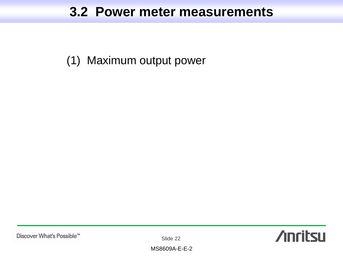## **3.2 Power meter measurements**

(1) Maximum output power

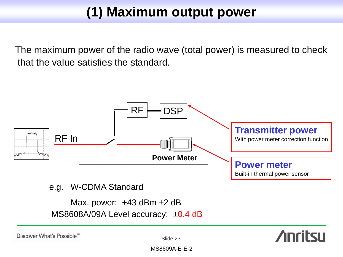## **(1) Maximum output power**

The maximum power of the radio wave (total power) is measured to check that the value satisfies the standard.



### e.g. W-CDMA Standard

Max. power:  $+43$  dBm  $\pm 2$  dB MS8608A/09A Level accuracy:  $\pm$ 0.4 dB

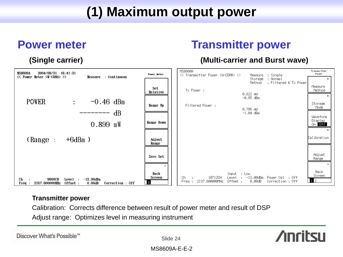## **(1) Maximum output power**

## **Power meter Transmitter power**

### **(Single carrier) (Multi-carrier and Burst wave)**



### **Transmitter power**

Calibration: Corrects difference between result of power meter and result of DSP Adjust range: Optimizes level in measuring instrument

Discover What's Possible™



**Anritsu**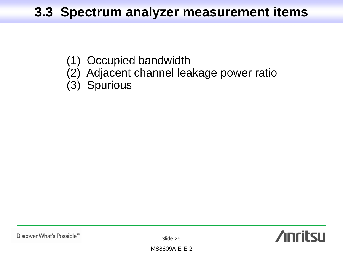## **3.3 Spectrum analyzer measurement items**

- (1) Occupied bandwidth
- (2) Adjacent channel leakage power ratio
- (3) Spurious



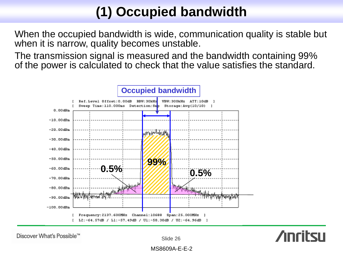## **(1) Occupied bandwidth**

When the occupied bandwidth is wide, communication quality is stable but when it is narrow, quality becomes unstable.

The transmission signal is measured and the bandwidth containing 99% of the power is calculated to check that the value satisfies the standard.



Discover What's Possible™

Slide 26



MS8609A-E-E-2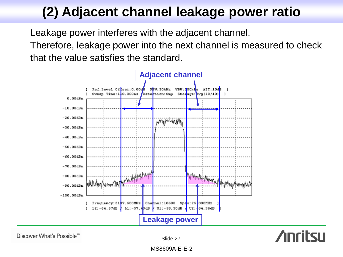## **(2) Adjacent channel leakage power ratio**

Leakage power interferes with the adjacent channel.

Therefore, leakage power into the next channel is measured to check that the value satisfies the standard.



Discover What's Possible™

Slide 27

**Anritsu**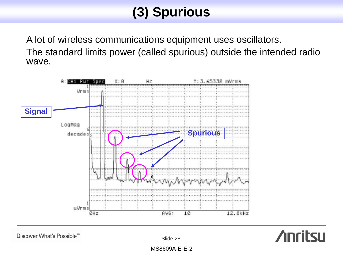## **(3) Spurious**

A lot of wireless communications equipment uses oscillators. The standard limits power (called spurious) outside the intended radio wave.



Discover What's Possible™

Slide 28



MS8609A-E-E-2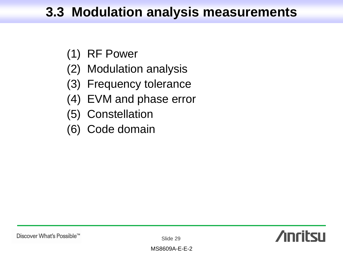## **3.3 Modulation analysis measurements**

- (1) RF Power
- (2) Modulation analysis
- (3) Frequency tolerance
- (4) EVM and phase error
- (5) Constellation
- (6) Code domain

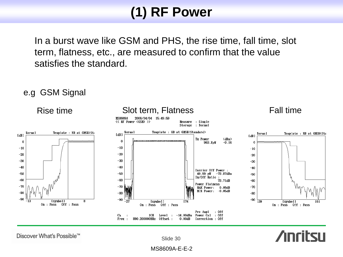## **(1) RF Power**

In a burst wave like GSM and PHS, the rise time, fall time, slot term, flatness, etc., are measured to confirm that the value satisfies the standard.

e.g GSM Signal

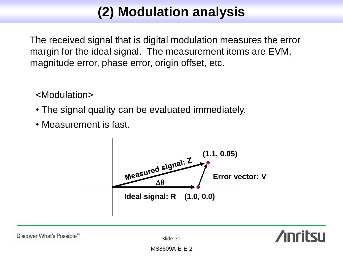## **(2) Modulation analysis**

The received signal that is digital modulation measures the error margin for the ideal signal. The measurement items are EVM, magnitude error, phase error, origin offset, etc.

<Modulation>

- The signal quality can be evaluated immediately.
- Measurement is fast.

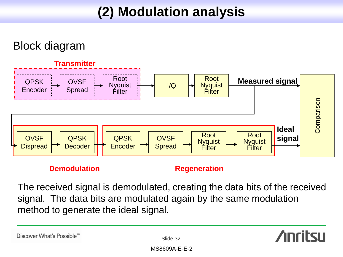## **(2) Modulation analysis**

## Block diagram



### **Demodulation Regeneration**

The received signal is demodulated, creating the data bits of the received signal. The data bits are modulated again by the same modulation method to generate the ideal signal.

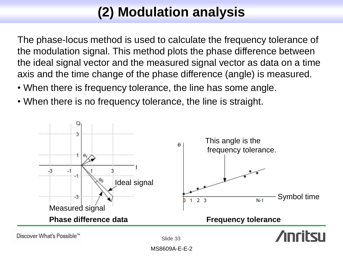## **(2) Modulation analysis**

The phase-locus method is used to calculate the frequency tolerance of the modulation signal. This method plots the phase difference between the ideal signal vector and the measured signal vector as data on a time axis and the time change of the phase difference (angle) is measured.

- When there is frequency tolerance, the line has some angle.
- When there is no frequency tolerance, the line is straight.



MS8609A-E-E-2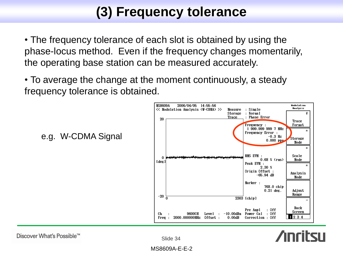## **(3) Frequency tolerance**

• The frequency tolerance of each slot is obtained by using the phase-locus method. Even if the frequency changes momentarily, the operating base station can be measured accurately.

• To average the change at the moment continuously, a steady frequency tolerance is obtained.



## **Anritsu**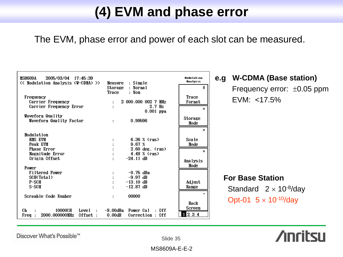## **(4) EVM and phase error**

The EVM, phase error and power of each slot can be measured.

| 2005/03/04 17:45:39<br>MS8609A<br><< Modulation Analysis (W-CDMA) >>                                        | Measure : Single<br>: Normal<br><b>Storage</b><br>: Non<br>Trace                                 | Modu Lation<br>Analysis<br>#                |
|-------------------------------------------------------------------------------------------------------------|--------------------------------------------------------------------------------------------------|---------------------------------------------|
| Frequency<br>Carrier Frequency<br>Carrier Frequency Error                                                   | $2000.0000027$ MHz<br>$2.7$ Hz<br>$0.001$ ppm                                                    | Trace<br>Format<br>ж                        |
| Waveform Quality<br>Waveform Quality Factor                                                                 | 0.99596                                                                                          | <b>Storage</b><br>Mode                      |
| Modulation<br><b>RMS EUM</b><br>Peak EVM<br><b>Phase Error</b><br>Magnitude Error<br>Origin Offset<br>Power | $6.36 \times$ (rms)<br>9.67 <sub>3</sub><br>$2.60$ deg. $(rms)$<br>$4.48\%$ (rms)<br>$-24.11$ dB | ж<br>Scale<br>Mode<br>ж<br>Analysis<br>Mode |
| Filtered Power<br>SCH(Total)<br>$P-SCH$<br>S-SCH                                                            | $-0.75$ dBm<br>$-9.97$ dB<br>$-13.10$ dB<br>$-12.87$ dB                                          | Adjust<br>Range                             |
| Scramble Code Number<br>Сh<br>10000CH<br>Level<br>$\cdot$<br>2000.000000MHz<br>Offset :<br>Free:            | 00000<br>Power Cal<br>-8.00dBm<br>: Off<br>$0.00$ dB<br>Correction : Off                         | →<br>Back<br>Screen<br>234                  |

### **e.g W-CDMA (Base station)**  Frequency error:  $\pm 0.05$  ppm EVM: <17.5%

## **For Base Station** Standard  $2 \times 10^{-8}$ /day Opt-01  $5 \times 10^{-10}$ /day



Discover What's Possible™

Slide 35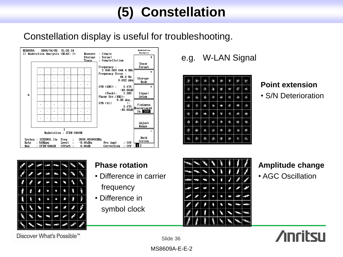## **(5) Constellation**

### Constellation display is useful for troubleshooting.



e.g. W-LAN Signal

| 寒                    | Ó         | $\frac{1}{2}$ | ۰              | ☀  | ¢, | Ŵ.            | 鸞                         |
|----------------------|-----------|---------------|----------------|----|----|---------------|---------------------------|
| ♦                    | й.        |               | Ŀ,             | Ý  | 槲  | Ç             | $\mathcal{E}_\mathcal{C}$ |
| 戀                    | lig       | ÷.            | $\mathbf{q}_k$ | ¥  | 嚓  | Ø             | ø                         |
| 瀻                    | $\hat{v}$ | 瀉             | ¥,             | 63 | Ă  | 臨             | 豢                         |
| 每                    | 寨         | 瀛             | ₩              | 簿. | ⊕  | الله          | 驋                         |
| š\$                  | 瀛.        | ø             | È              | ę. | 衡. | $\frac{1}{2}$ | 弊                         |
| ♦                    | 43        | 蘸             | $\mathcal{R}$  | Ş. | Ø  | 海             | 虚                         |
| $\hat{\mathbf{a}}_t$ | Ø         | Ň.            | 橎              | Ś. | Ŕ  | ł.            |                           |

### **Point extension**

• S/N Deterioration

|    |   | ц.<br>н | ä. |    |    |   |
|----|---|---------|----|----|----|---|
|    |   | E.      | e. |    |    |   |
|    | O | ¢.      | 牄  | €) | Ø, |   |
| B  | 0 |         | O  | Ð  | Ŷ  | Ù |
| Ŀ, |   | c       |    |    |    |   |
|    |   | ۰,      |    |    |    |   |
|    |   | ్న      | C  |    |    |   |

### **Phase rotation**

- Difference in carrier frequency
- Difference in symbol clock



### **Amplitude change**

• AGC Oscillation



Discover What's Possible™

Slide 36

MS8609A-E-E-2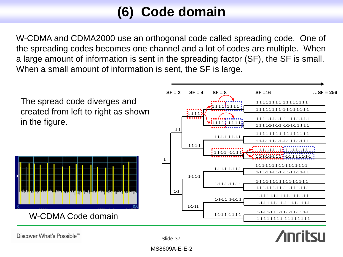## **(6) Code domain**

W-CDMA and CDMA2000 use an orthogonal code called spreading code. One of the spreading codes becomes one channel and a lot of codes are multiple. When a large amount of information is sent in the spreading factor (SF), the SF is small. When a small amount of information is sent, the SF is large.



Slide 37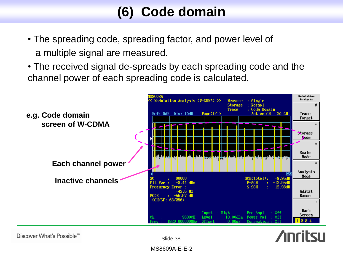## **(6) Code domain**

- The spreading code, spreading factor, and power level of a multiple signal are measured.
- The received signal de-spreads by each spreading code and the channel power of each spreading code is calculated.





Slide 38